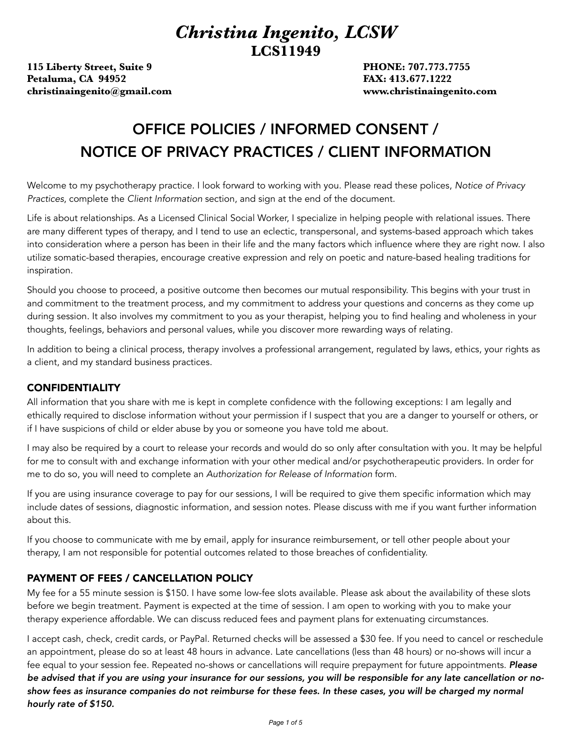## *Christina Ingenito, LCSW*  **LCS11949**

**115 Liberty Street, Suite 9 PHONE: 707.773.7755 Petaluma, CA 94952** *Petaluma, CA 94952 Petaluma, CA 94952* **<b>***FAX: 413.677.1222* **[christinaingenito@gmail.com](mailto:christinaingenito@gmail.com) www.christinaingenito.com** 

# OFFICE POLICIES / INFORMED CONSENT / NOTICE OF PRIVACY PRACTICES / CLIENT INFORMATION

Welcome to my psychotherapy practice. I look forward to working with you. Please read these polices, *Notice of Privacy Practices*, complete the *Client Information* section, and sign at the end of the document.

Life is about relationships. As a Licensed Clinical Social Worker, I specialize in helping people with relational issues. There are many different types of therapy, and I tend to use an eclectic, transpersonal, and systems-based approach which takes into consideration where a person has been in their life and the many factors which influence where they are right now. I also utilize somatic-based therapies, encourage creative expression and rely on poetic and nature-based healing traditions for inspiration.

Should you choose to proceed, a positive outcome then becomes our mutual responsibility. This begins with your trust in and commitment to the treatment process, and my commitment to address your questions and concerns as they come up during session. It also involves my commitment to you as your therapist, helping you to find healing and wholeness in your thoughts, feelings, behaviors and personal values, while you discover more rewarding ways of relating.

In addition to being a clinical process, therapy involves a professional arrangement, regulated by laws, ethics, your rights as a client, and my standard business practices.

### CONFIDENTIALITY

All information that you share with me is kept in complete confidence with the following exceptions: I am legally and ethically required to disclose information without your permission if I suspect that you are a danger to yourself or others, or if I have suspicions of child or elder abuse by you or someone you have told me about.

I may also be required by a court to release your records and would do so only after consultation with you. It may be helpful for me to consult with and exchange information with your other medical and/or psychotherapeutic providers. In order for me to do so, you will need to complete an *Authorization for Release of Information* form.

If you are using insurance coverage to pay for our sessions, I will be required to give them specific information which may include dates of sessions, diagnostic information, and session notes. Please discuss with me if you want further information about this.

If you choose to communicate with me by email, apply for insurance reimbursement, or tell other people about your therapy, I am not responsible for potential outcomes related to those breaches of confidentiality.

### PAYMENT OF FEES / CANCELLATION POLICY

My fee for a 55 minute session is \$150. I have some low-fee slots available. Please ask about the availability of these slots before we begin treatment. Payment is expected at the time of session. I am open to working with you to make your therapy experience affordable. We can discuss reduced fees and payment plans for extenuating circumstances.

I accept cash, check, credit cards, or PayPal. Returned checks will be assessed a \$30 fee. If you need to cancel or reschedule an appointment, please do so at least 48 hours in advance. Late cancellations (less than 48 hours) or no-shows will incur a fee equal to your session fee. Repeated no-shows or cancellations will require prepayment for future appointments. *Please be advised that if you are using your insurance for our sessions, you will be responsible for any late cancellation or no*show fees as insurance companies do not reimburse for these fees. In these cases, you will be charged my normal *hourly rate of \$150.*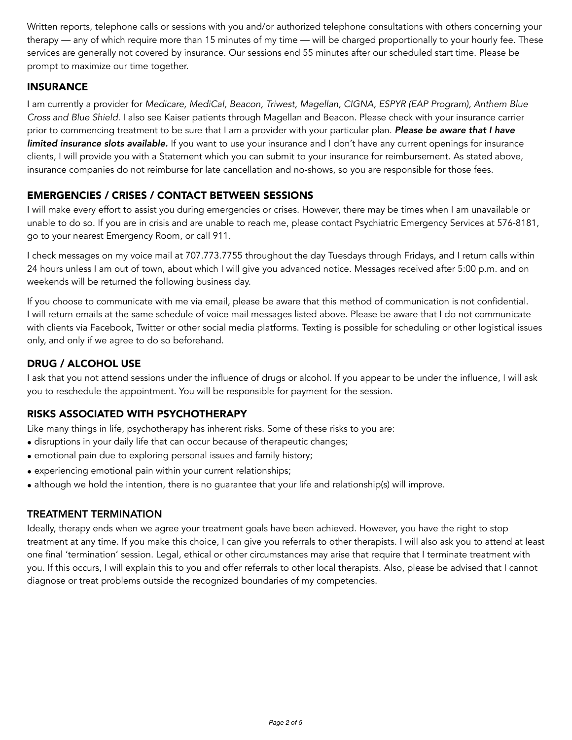Written reports, telephone calls or sessions with you and/or authorized telephone consultations with others concerning your therapy — any of which require more than 15 minutes of my time — will be charged proportionally to your hourly fee. These services are generally not covered by insurance. Our sessions end 55 minutes after our scheduled start time. Please be prompt to maximize our time together.

### INSURANCE

I am currently a provider for *Medicare, MediCal, Beacon, Triwest, Magellan, CIGNA, ESPYR (EAP Program), Anthem Blue Cross and Blue Shield.* I also see Kaiser patients through Magellan and Beacon. Please check with your insurance carrier prior to commencing treatment to be sure that I am a provider with your particular plan. *Please be aware that I have limited insurance slots available.* If you want to use your insurance and I don't have any current openings for insurance clients, I will provide you with a Statement which you can submit to your insurance for reimbursement. As stated above, insurance companies do not reimburse for late cancellation and no-shows, so you are responsible for those fees.

### EMERGENCIES / CRISES / CONTACT BETWEEN SESSIONS

I will make every effort to assist you during emergencies or crises. However, there may be times when I am unavailable or unable to do so. If you are in crisis and are unable to reach me, please contact Psychiatric Emergency Services at 576-8181, go to your nearest Emergency Room, or call 911.

I check messages on my voice mail at 707.773.7755 throughout the day Tuesdays through Fridays, and I return calls within 24 hours unless I am out of town, about which I will give you advanced notice. Messages received after 5:00 p.m. and on weekends will be returned the following business day.

If you choose to communicate with me via email, please be aware that this method of communication is not confidential. I will return emails at the same schedule of voice mail messages listed above. Please be aware that I do not communicate with clients via Facebook, Twitter or other social media platforms. Texting is possible for scheduling or other logistical issues only, and only if we agree to do so beforehand.

### DRUG / ALCOHOL USE

I ask that you not attend sessions under the influence of drugs or alcohol. If you appear to be under the influence, I will ask you to reschedule the appointment. You will be responsible for payment for the session.

### RISKS ASSOCIATED WITH PSYCHOTHERAPY

Like many things in life, psychotherapy has inherent risks. Some of these risks to you are:

- disruptions in your daily life that can occur because of therapeutic changes;
- emotional pain due to exploring personal issues and family history;
- experiencing emotional pain within your current relationships;
- although we hold the intention, there is no guarantee that your life and relationship(s) will improve.

### TREATMENT TERMINATION

Ideally, therapy ends when we agree your treatment goals have been achieved. However, you have the right to stop treatment at any time. If you make this choice, I can give you referrals to other therapists. I will also ask you to attend at least one final 'termination' session. Legal, ethical or other circumstances may arise that require that I terminate treatment with you. If this occurs, I will explain this to you and offer referrals to other local therapists. Also, please be advised that I cannot diagnose or treat problems outside the recognized boundaries of my competencies.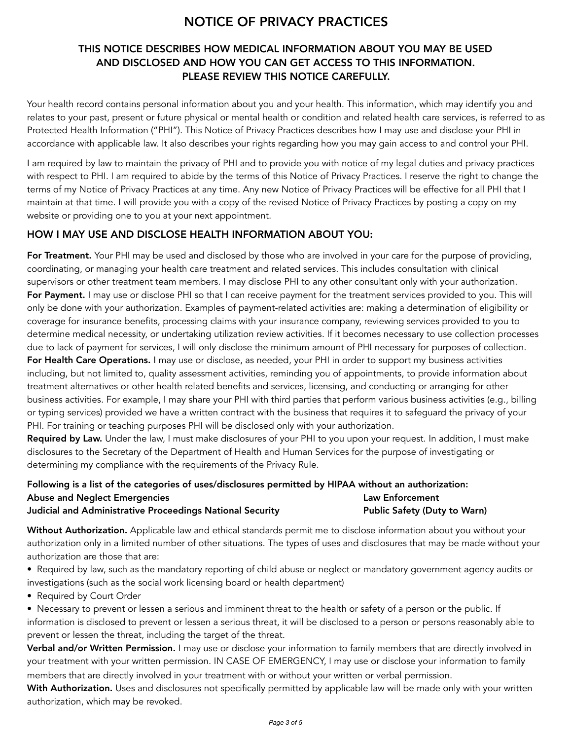### NOTICE OF PRIVACY PRACTICES

### THIS NOTICE DESCRIBES HOW MEDICAL INFORMATION ABOUT YOU MAY BE USED AND DISCLOSED AND HOW YOU CAN GET ACCESS TO THIS INFORMATION. PLEASE REVIEW THIS NOTICE CAREFULLY.

Your health record contains personal information about you and your health. This information, which may identify you and relates to your past, present or future physical or mental health or condition and related health care services, is referred to as Protected Health Information ("PHI"). This Notice of Privacy Practices describes how I may use and disclose your PHI in accordance with applicable law. It also describes your rights regarding how you may gain access to and control your PHI.

I am required by law to maintain the privacy of PHI and to provide you with notice of my legal duties and privacy practices with respect to PHI. I am required to abide by the terms of this Notice of Privacy Practices. I reserve the right to change the terms of my Notice of Privacy Practices at any time. Any new Notice of Privacy Practices will be effective for all PHI that I maintain at that time. I will provide you with a copy of the revised Notice of Privacy Practices by posting a copy on my website or providing one to you at your next appointment.

### HOW I MAY USE AND DISCLOSE HEALTH INFORMATION ABOUT YOU:

For Treatment. Your PHI may be used and disclosed by those who are involved in your care for the purpose of providing, coordinating, or managing your health care treatment and related services. This includes consultation with clinical supervisors or other treatment team members. I may disclose PHI to any other consultant only with your authorization. For Payment. I may use or disclose PHI so that I can receive payment for the treatment services provided to you. This will only be done with your authorization. Examples of payment-related activities are: making a determination of eligibility or coverage for insurance benefits, processing claims with your insurance company, reviewing services provided to you to determine medical necessity, or undertaking utilization review activities. If it becomes necessary to use collection processes due to lack of payment for services, I will only disclose the minimum amount of PHI necessary for purposes of collection. For Health Care Operations. I may use or disclose, as needed, your PHI in order to support my business activities including, but not limited to, quality assessment activities, reminding you of appointments, to provide information about treatment alternatives or other health related benefits and services, licensing, and conducting or arranging for other business activities. For example, I may share your PHI with third parties that perform various business activities (e.g., billing or typing services) provided we have a written contract with the business that requires it to safeguard the privacy of your PHI. For training or teaching purposes PHI will be disclosed only with your authorization.

Required by Law. Under the law, I must make disclosures of your PHI to you upon your request. In addition, I must make disclosures to the Secretary of the Department of Health and Human Services for the purpose of investigating or determining my compliance with the requirements of the Privacy Rule.

### Following is a list of the categories of uses/disclosures permitted by HIPAA without an authorization: Abuse and Neglect Emergencies **Law Enforcement** Law Enforcement Judicial and Administrative Proceedings National Security **Public Safety (Duty to Warn)**

Without Authorization. Applicable law and ethical standards permit me to disclose information about you without your authorization only in a limited number of other situations. The types of uses and disclosures that may be made without your authorization are those that are:

• Required by law, such as the mandatory reporting of child abuse or neglect or mandatory government agency audits or investigations (such as the social work licensing board or health department)

• Required by Court Order

• Necessary to prevent or lessen a serious and imminent threat to the health or safety of a person or the public. If information is disclosed to prevent or lessen a serious threat, it will be disclosed to a person or persons reasonably able to prevent or lessen the threat, including the target of the threat.

Verbal and/or Written Permission. I may use or disclose your information to family members that are directly involved in your treatment with your written permission. IN CASE OF EMERGENCY, I may use or disclose your information to family members that are directly involved in your treatment with or without your written or verbal permission.

With Authorization. Uses and disclosures not specifically permitted by applicable law will be made only with your written authorization, which may be revoked.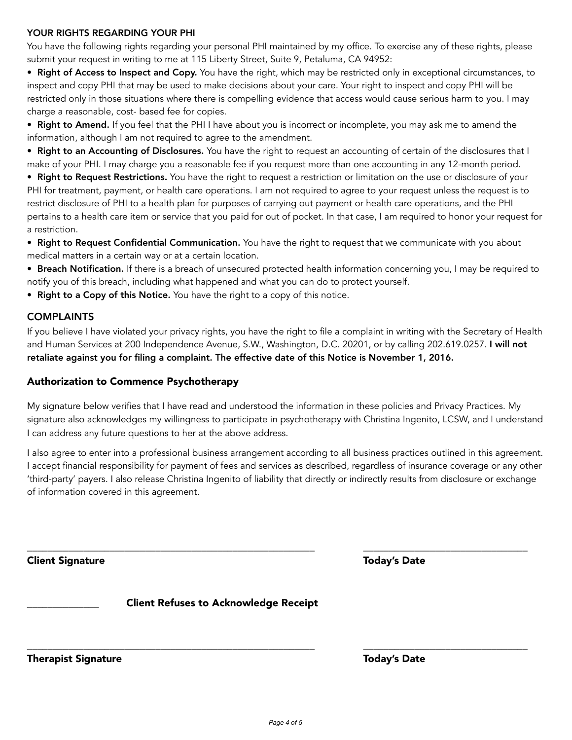#### YOUR RIGHTS REGARDING YOUR PHI

You have the following rights regarding your personal PHI maintained by my office. To exercise any of these rights, please submit your request in writing to me at 115 Liberty Street, Suite 9, Petaluma, CA 94952:

• Right of Access to Inspect and Copy. You have the right, which may be restricted only in exceptional circumstances, to inspect and copy PHI that may be used to make decisions about your care. Your right to inspect and copy PHI will be restricted only in those situations where there is compelling evidence that access would cause serious harm to you. I may charge a reasonable, cost- based fee for copies.

• Right to Amend. If you feel that the PHI I have about you is incorrect or incomplete, you may ask me to amend the information, although I am not required to agree to the amendment.

• Right to an Accounting of Disclosures. You have the right to request an accounting of certain of the disclosures that I make of your PHI. I may charge you a reasonable fee if you request more than one accounting in any 12-month period.

• Right to Request Restrictions. You have the right to request a restriction or limitation on the use or disclosure of your PHI for treatment, payment, or health care operations. I am not required to agree to your request unless the request is to restrict disclosure of PHI to a health plan for purposes of carrying out payment or health care operations, and the PHI pertains to a health care item or service that you paid for out of pocket. In that case, I am required to honor your request for a restriction.

• Right to Request Confidential Communication. You have the right to request that we communicate with you about medical matters in a certain way or at a certain location.

• Breach Notification. If there is a breach of unsecured protected health information concerning you, I may be required to notify you of this breach, including what happened and what you can do to protect yourself.

• Right to a Copy of this Notice. You have the right to a copy of this notice.

### **COMPLAINTS**

If you believe I have violated your privacy rights, you have the right to file a complaint in writing with the Secretary of Health and Human Services at 200 Independence Avenue, S.W., Washington, D.C. 20201, or by calling 202.619.0257. I will not retaliate against you for filing a complaint. The effective date of this Notice is November 1, 2016.

### Authorization to Commence Psychotherapy

My signature below verifies that I have read and understood the information in these policies and Privacy Practices. My signature also acknowledges my willingness to participate in psychotherapy with Christina Ingenito, LCSW, and I understand I can address any future questions to her at the above address.

I also agree to enter into a professional business arrangement according to all business practices outlined in this agreement. I accept financial responsibility for payment of fees and services as described, regardless of insurance coverage or any other 'third-party' payers. I also release Christina Ingenito of liability that directly or indirectly results from disclosure or exchange of information covered in this agreement.

\_\_\_\_\_\_\_\_\_\_\_\_\_\_\_\_\_\_\_\_\_\_\_\_\_\_\_\_\_\_\_\_\_\_\_\_\_\_\_\_\_\_\_\_\_\_\_\_\_\_\_\_\_\_\_\_ \_\_\_\_\_\_\_\_\_\_\_\_\_\_\_\_\_\_\_\_\_\_\_\_\_\_\_\_\_\_\_\_

\_\_\_\_\_\_\_\_\_\_\_\_\_\_\_\_\_\_\_\_\_\_\_\_\_\_\_\_\_\_\_\_\_\_\_\_\_\_\_\_\_\_\_\_\_\_\_\_\_\_\_\_\_\_\_\_ \_\_\_\_\_\_\_\_\_\_\_\_\_\_\_\_\_\_\_\_\_\_\_\_\_\_\_\_\_\_\_\_

Client Signature Today's Date

\_\_\_\_\_\_\_\_\_\_\_\_\_\_ Client Refuses to Acknowledge Receipt

Therapist Signature Today's Date